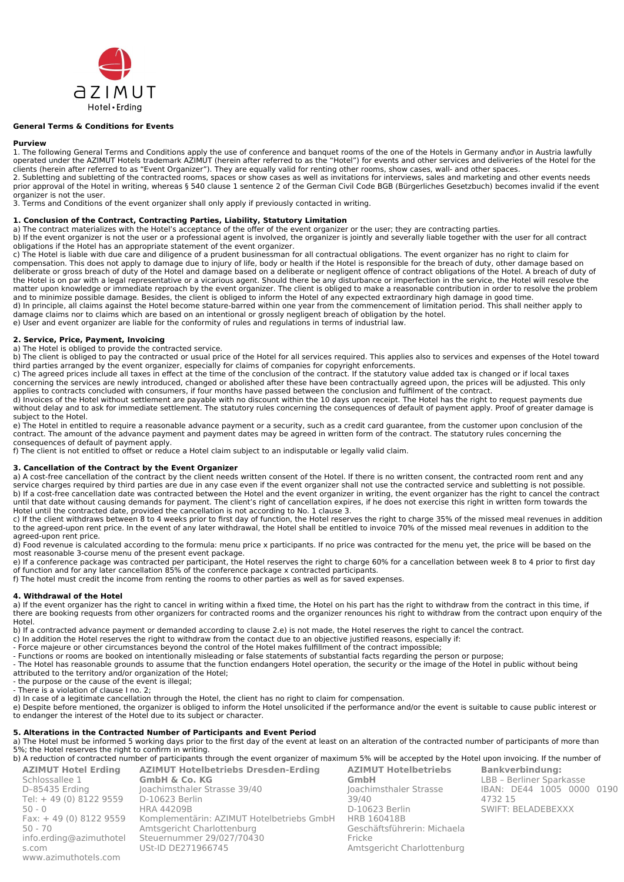

## **General Terms & Conditions for Events**

### **Purview**

1. The following General Terms and Conditions apply the use of conference and banquet rooms of the one of the Hotels in Germany and\or in Austria lawfully operated under the AZIMUT Hotels trademark AZIMUT (herein after referred to as the "Hotel") for events and other services and deliveries of the Hotel for the clients (herein after referred to as "Event Organizer"). They are equally valid for renting other rooms, show cases, wall- and other spaces.

2. Subletting and subletting of the contracted rooms, spaces or show cases as well as invitations for interviews, sales and marketing and other events needs prior approval of the Hotel in writing, whereas § 540 clause 1 sentence 2 of the German Civil Code BGB (Bürgerliches Gesetzbuch) becomes invalid if the event organizer is not the user.

3. Terms and Conditions of the event organizer shall only apply if previously contacted in writing.

## **1. Conclusion of the Contract, Contracting Parties, Liability, Statutory Limitation**

a) The contract materializes with the Hotel's acceptance of the offer of the event organizer or the user; they are contracting parties.

b) If the event organizer is not the user or a professional agent is involved, the organizer is jointly and severally liable together with the user for all contract obligations if the Hotel has an appropriate statement of the event organizer.

c) The Hotel is liable with due care and diligence of a prudent businessman for all contractual obligations. The event organizer has no right to claim for compensation. This does not apply to damage due to injury of life, body or health if the Hotel is responsible for the breach of duty, other damage based on deliberate or gross breach of duty of the Hotel and damage based on a deliberate or negligent offence of contract obligations of the Hotel. A breach of duty of the Hotel is on par with a legal representative or a vicarious agent. Should there be any disturbance or imperfection in the service, the Hotel will resolve the matter upon knowledge or immediate reproach by the event organizer. The client is obliged to make a reasonable contribution in order to resolve the problem and to minimize possible damage. Besides, the client is obliged to inform the Hotel of any expected extraordinary high damage in good time. d) In principle, all claims against the Hotel become stature-barred within one year from the commencement of limitation period. This shall neither apply to

damage claims nor to claims which are based on an intentional or grossly negligent breach of obligation by the hotel.

e) User and event organizer are liable for the conformity of rules and regulations in terms of industrial law.

# **2. Service, Price, Payment, Invoicing**

a) The Hotel is obliged to provide the contracted service.

b) The client is obliged to pay the contracted or usual price of the Hotel for all services required. This applies also to services and expenses of the Hotel toward third parties arranged by the event organizer, especially for claims of companies for copyright enforcements.

c) The agreed prices include all taxes in effect at the time of the conclusion of the contract. If the statutory value added tax is changed or if local taxes concerning the services are newly introduced, changed or abolished after these have been contractually agreed upon, the prices will be adjusted. This only applies to contracts concluded with consumers, if four months have passed between the conclusion and fulfilment of the contract.

d) Invoices of the Hotel without settlement are payable with no discount within the 10 days upon receipt. The Hotel has the right to request payments due without delay and to ask for immediate settlement. The statutory rules concerning the consequences of default of payment apply. Proof of greater damage is subject to the Hotel.

e) The Hotel in entitled to require a reasonable advance payment or a security, such as a credit card guarantee, from the customer upon conclusion of the contract. The amount of the advance payment and payment dates may be agreed in written form of the contract. The statutory rules concerning the consequences of default of payment apply.

f) The client is not entitled to offset or reduce a Hotel claim subject to an indisputable or legally valid claim.

### **3. Cancellation of the Contract by the Event Organizer**

a) A cost-free cancellation of the contract by the client needs written consent of the Hotel. If there is no written consent, the contracted room rent and any service charges required by third parties are due in any case even if the event organizer shall not use the contracted service and subletting is not possible. b) If a cost-free cancellation date was contracted between the Hotel and the event organizer in writing, the event organizer has the right to cancel the contract until that date without causing demands for payment. The client's right of cancellation expires, if he does not exercise this right in written form towards the Hotel until the contracted date, provided the cancellation is not according to No. 1 clause 3.

c) If the client withdraws between 8 to 4 weeks prior to first day of function, the Hotel reserves the right to charge 35% of the missed meal revenues in addition to the agreed-upon rent price. In the event of any later withdrawal, the Hotel shall be entitled to invoice 70% of the missed meal revenues in addition to the agreed-upon rent price.

d) Food revenue is calculated according to the formula: menu price x participants. If no price was contracted for the menu yet, the price will be based on the most reasonable 3-course menu of the present event package.

e) If a conference package was contracted per participant, the Hotel reserves the right to charge 60% for a cancellation between week 8 to 4 prior to first day of function and for any later cancellation 85% of the conference package x contracted participants.

f) The hotel must credit the income from renting the rooms to other parties as well as for saved expenses.

### **4. Withdrawal of the Hotel**

a) If the event organizer has the right to cancel in writing within a fixed time, the Hotel on his part has the right to withdraw from the contract in this time, if there are booking requests from other organizers for contracted rooms and the organizer renounces his right to withdraw from the contract upon enquiry of the Hotel.

b) If a contracted advance payment or demanded according to clause 2.e) is not made, the Hotel reserves the right to cancel the contract.

- c) In addition the Hotel reserves the right to withdraw from the contact due to an objective justified reasons, especially if:
- Force majeure or other circumstances beyond the control of the Hotel makes fulfillment of the contract impossible;

- Functions or rooms are booked on intentionally misleading or false statements of substantial facts regarding the person or purpose;

- The Hotel has reasonable grounds to assume that the function endangers Hotel operation, the security or the image of the Hotel in public without being attributed to the territory and/or organization of the Hotel;

- the purpose or the cause of the event is illegal;

- There is a violation of clause I no. 2;

d) In case of a legitimate cancellation through the Hotel, the client has no right to claim for compensation.

e) Despite before mentioned, the organizer is obliged to inform the Hotel unsolicited if the performance and/or the event is suitable to cause public interest or to endanger the interest of the Hotel due to its subject or character.

## **5. Alterations in the Contracted Number of Participants and Event Period**

a) The Hotel must be informed 5 working days prior to the first day of the event at least on an alteration of the contracted number of participants of more than 5%; the Hotel reserves the right to confirm in writing.

b) A reduction of contracted number of participants through the event organizer of maximum 5% will be accepted by the Hotel upon invoicing. If the number of **AZIMUT Hotel Erding AZIMUT Hotelbetriebs Dresden-Erding AZIMUT Hotelbetriebs Bankverbindung:**

| <b>AZIMUL HOLEL ETAING</b> | <b>AZIMUL HOLEIDELTIEDS DIESGEN-ETGING</b> | AZII       |
|----------------------------|--------------------------------------------|------------|
| Schlossallee 1             | <b>GmbH &amp; Co. KG</b>                   | Gml        |
| D-85435 Erding             | Joachimsthaler Strasse 39/40               | loacl      |
| Tel: +49 (0) 8122 9559     | D-10623 Berlin                             | 39/4       |
| $50 - 0$                   | <b>HRA 44209B</b>                          | $D-10$     |
| Fax: $+49(0)81229559$      | Komplementärin: AZIMUT Hotelbetriebs GmbH  | <b>HRB</b> |
| $50 - 70$                  | Amtsgericht Charlottenburg                 | Geso       |
| info.erding@azimuthotel    | Steuernummer 29/027/70430                  | Frick      |
| s.com                      | USt-ID DE271966745                         | Amt:       |
| www.azimuthotels.com       |                                            |            |

**GmbH** himsthaler Strasse  $\Omega$ 0623 Berlin 160418B chäftsführerin: Michaela  $\overline{P}$ sgericht Charlottenburg

LBB - Berliner Sparkasse IBAN: DE44 1005 0000 0190 4732 15 SWIFT: BELADEBEXXX